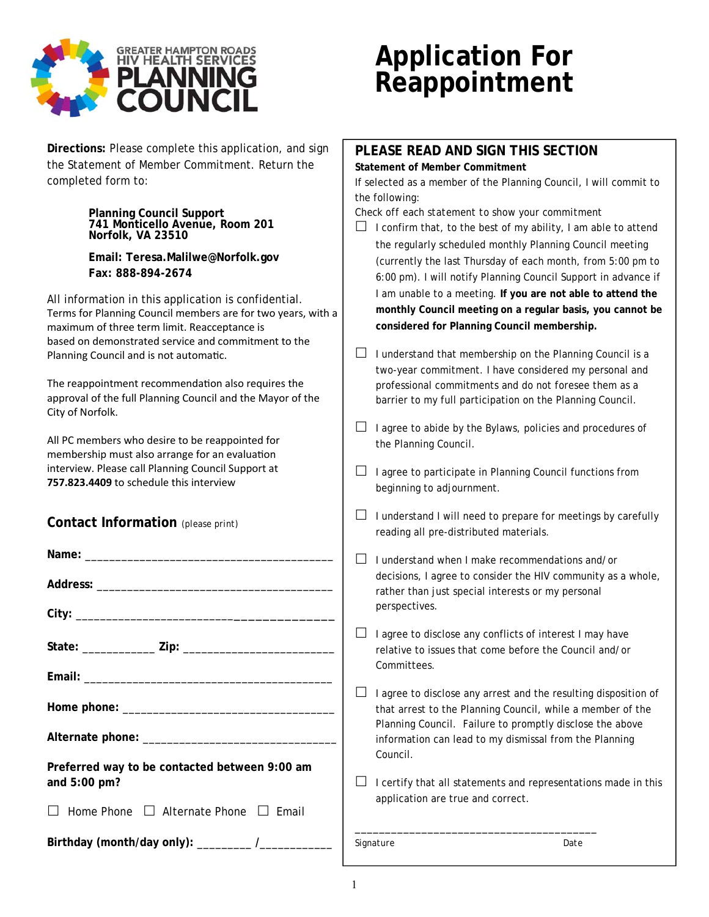

## **Application For Reappointment**

| Directions: Please complete this application, and sign                                              | PLEASE READ AND SIGN THIS SECTION                                    |  |  |  |
|-----------------------------------------------------------------------------------------------------|----------------------------------------------------------------------|--|--|--|
| the Statement of Member Commitment. Return the                                                      | <b>Statement of Member Commitment</b>                                |  |  |  |
| completed form to:                                                                                  | If selected as a member of the Planning Council, I will commit to    |  |  |  |
|                                                                                                     | the following:                                                       |  |  |  |
| Planning Council Support<br>741 Monticello Avenue, Room 201                                         | Check off each statement to show your commitment                     |  |  |  |
|                                                                                                     | I confirm that, to the best of my ability, I am able to attend       |  |  |  |
| Norfolk, VA 23510                                                                                   | the regularly scheduled monthly Planning Council meeting             |  |  |  |
| Email: Teresa.Malilwe@Norfolk.gov                                                                   | (currently the last Thursday of each month, from 5:00 pm to          |  |  |  |
| Fax: 888-894-2674                                                                                   | 6:00 pm). I will notify Planning Council Support in advance if       |  |  |  |
|                                                                                                     | I am unable to a meeting. If you are not able to attend the          |  |  |  |
| All information in this application is confidential.                                                | monthly Council meeting on a regular basis, you cannot be            |  |  |  |
| Terms for Planning Council members are for two years, with a                                        | considered for Planning Council membership.                          |  |  |  |
| maximum of three term limit. Reacceptance is<br>based on demonstrated service and commitment to the |                                                                      |  |  |  |
| Planning Council and is not automatic.                                                              | I understand that membership on the Planning Council is a<br>ப       |  |  |  |
|                                                                                                     | two-year commitment. I have considered my personal and               |  |  |  |
| The reappointment recommendation also requires the                                                  | professional commitments and do not foresee them as a                |  |  |  |
| approval of the full Planning Council and the Mayor of the                                          | barrier to my full participation on the Planning Council.            |  |  |  |
| City of Norfolk.                                                                                    |                                                                      |  |  |  |
|                                                                                                     | $\Box$<br>I agree to abide by the Bylaws, policies and procedures of |  |  |  |
| All PC members who desire to be reappointed for                                                     | the Planning Council.                                                |  |  |  |
| membership must also arrange for an evaluation                                                      |                                                                      |  |  |  |
| interview. Please call Planning Council Support at                                                  | I agree to participate in Planning Council functions from<br>$\Box$  |  |  |  |
| 757.823.4409 to schedule this interview                                                             | beginning to adjournment.                                            |  |  |  |
|                                                                                                     |                                                                      |  |  |  |
| Contact Information (please print)                                                                  | I understand I will need to prepare for meetings by carefully<br>⊔   |  |  |  |
|                                                                                                     | reading all pre-distributed materials.                               |  |  |  |
|                                                                                                     |                                                                      |  |  |  |
|                                                                                                     | ப<br>I understand when I make recommendations and/or                 |  |  |  |
|                                                                                                     | decisions, I agree to consider the HIV community as a whole,         |  |  |  |
|                                                                                                     | rather than just special interests or my personal                    |  |  |  |
|                                                                                                     | perspectives.                                                        |  |  |  |
|                                                                                                     |                                                                      |  |  |  |
| State: ______________ Zip: __________________                                                       | $\Box$<br>I agree to disclose any conflicts of interest I may have   |  |  |  |
|                                                                                                     | relative to issues that come before the Council and/or               |  |  |  |
|                                                                                                     | Committees.                                                          |  |  |  |
|                                                                                                     | ⊔<br>I agree to disclose any arrest and the resulting disposition of |  |  |  |
|                                                                                                     | that arrest to the Planning Council, while a member of the           |  |  |  |
|                                                                                                     | Planning Council. Failure to promptly disclose the above             |  |  |  |
|                                                                                                     | information can lead to my dismissal from the Planning               |  |  |  |
|                                                                                                     | Council.                                                             |  |  |  |
| Preferred way to be contacted between 9:00 am                                                       |                                                                      |  |  |  |
| and 5:00 pm?                                                                                        | I certify that all statements and representations made in this       |  |  |  |
|                                                                                                     | application are true and correct.                                    |  |  |  |
| $\Box$ Home Phone $\Box$ Alternate Phone $\Box$ Email                                               |                                                                      |  |  |  |
|                                                                                                     |                                                                      |  |  |  |
| Birthday (month/day only): _________ /_________                                                     | Signature<br>Date                                                    |  |  |  |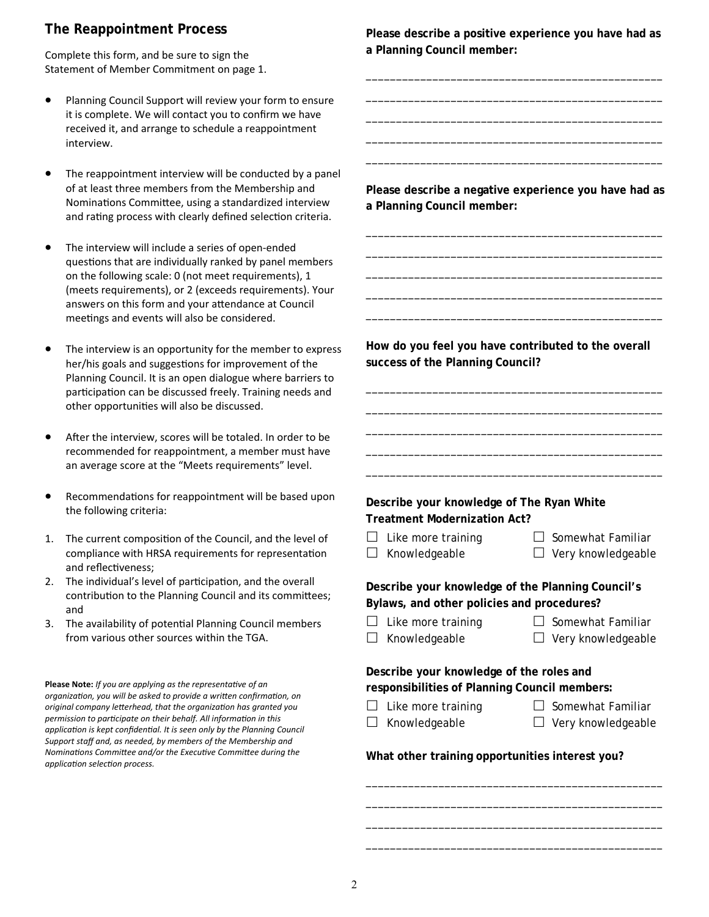## **The Reappointment Process**

Complete this form, and be sure to sign the Statement of Member Commitment on page 1.

- Planning Council Support will review your form to ensure it is complete. We will contact you to confirm we have received it, and arrange to schedule a reappointment interview.
- The reappointment interview will be conducted by a panel of at least three members from the Membership and Nominations Committee, using a standardized interview and rating process with clearly defined selection criteria.
- The interview will include a series of open‐ended questions that are individually ranked by panel members on the following scale: 0 (not meet requirements), 1 (meets requirements), or 2 (exceeds requirements). Your answers on this form and your attendance at Council meetings and events will also be considered.
- The interview is an opportunity for the member to express her/his goals and suggestions for improvement of the Planning Council. It is an open dialogue where barriers to participation can be discussed freely. Training needs and other opportunities will also be discussed.
- After the interview, scores will be totaled. In order to be recommended for reappointment, a member must have an average score at the "Meets requirements" level.
- Recommendations for reappointment will be based upon the following criteria:
- 1. The current composition of the Council, and the level of compliance with HRSA requirements for representation and reflectiveness;
- 2. The individual's level of participation, and the overall contribution to the Planning Council and its committees; and
- 3. The availability of potential Planning Council members from various other sources within the TGA.

**Please Note:** *If you are applying as the representative of an organizaƟon, you will be asked to provide a wriƩen confirmaƟon, on original company leƩerhead, that the organizaƟon has granted you*  permission to participate on their behalf. All information in this application is kept confidential. It is seen only by the Planning Council *Support staff and, as needed, by members of the Membership and Nominations Committee and/or the Executive Committee during the applicaƟon selecƟon process.*

**Please describe a positive experience you have had as a Planning Council member:** 

\_\_\_\_\_\_\_\_\_\_\_\_\_\_\_\_\_\_\_\_\_\_\_\_\_\_\_\_\_\_\_\_\_\_\_\_\_\_\_\_\_\_\_\_\_\_\_\_\_ \_\_\_\_\_\_\_\_\_\_\_\_\_\_\_\_\_\_\_\_\_\_\_\_\_\_\_\_\_\_\_\_\_\_\_\_\_\_\_\_\_\_\_\_\_\_\_\_\_ \_\_\_\_\_\_\_\_\_\_\_\_\_\_\_\_\_\_\_\_\_\_\_\_\_\_\_\_\_\_\_\_\_\_\_\_\_\_\_\_\_\_\_\_\_\_\_\_\_ \_\_\_\_\_\_\_\_\_\_\_\_\_\_\_\_\_\_\_\_\_\_\_\_\_\_\_\_\_\_\_\_\_\_\_\_\_\_\_\_\_\_\_\_\_\_\_\_\_ \_\_\_\_\_\_\_\_\_\_\_\_\_\_\_\_\_\_\_\_\_\_\_\_\_\_\_\_\_\_\_\_\_\_\_\_\_\_\_\_\_\_\_\_\_\_\_\_\_

**Please describe a negative experience you have had as a Planning Council member:** 

\_\_\_\_\_\_\_\_\_\_\_\_\_\_\_\_\_\_\_\_\_\_\_\_\_\_\_\_\_\_\_\_\_\_\_\_\_\_\_\_\_\_\_\_\_\_\_\_\_ \_\_\_\_\_\_\_\_\_\_\_\_\_\_\_\_\_\_\_\_\_\_\_\_\_\_\_\_\_\_\_\_\_\_\_\_\_\_\_\_\_\_\_\_\_\_\_\_\_ \_\_\_\_\_\_\_\_\_\_\_\_\_\_\_\_\_\_\_\_\_\_\_\_\_\_\_\_\_\_\_\_\_\_\_\_\_\_\_\_\_\_\_\_\_\_\_\_\_ \_\_\_\_\_\_\_\_\_\_\_\_\_\_\_\_\_\_\_\_\_\_\_\_\_\_\_\_\_\_\_\_\_\_\_\_\_\_\_\_\_\_\_\_\_\_\_\_\_ \_\_\_\_\_\_\_\_\_\_\_\_\_\_\_\_\_\_\_\_\_\_\_\_\_\_\_\_\_\_\_\_\_\_\_\_\_\_\_\_\_\_\_\_\_\_\_\_\_

**How do you feel you have contributed to the overall success of the Planning Council?** 

\_\_\_\_\_\_\_\_\_\_\_\_\_\_\_\_\_\_\_\_\_\_\_\_\_\_\_\_\_\_\_\_\_\_\_\_\_\_\_\_\_\_\_\_\_\_\_\_\_ \_\_\_\_\_\_\_\_\_\_\_\_\_\_\_\_\_\_\_\_\_\_\_\_\_\_\_\_\_\_\_\_\_\_\_\_\_\_\_\_\_\_\_\_\_\_\_\_\_ \_\_\_\_\_\_\_\_\_\_\_\_\_\_\_\_\_\_\_\_\_\_\_\_\_\_\_\_\_\_\_\_\_\_\_\_\_\_\_\_\_\_\_\_\_\_\_\_\_ \_\_\_\_\_\_\_\_\_\_\_\_\_\_\_\_\_\_\_\_\_\_\_\_\_\_\_\_\_\_\_\_\_\_\_\_\_\_\_\_\_\_\_\_\_\_\_\_\_ \_\_\_\_\_\_\_\_\_\_\_\_\_\_\_\_\_\_\_\_\_\_\_\_\_\_\_\_\_\_\_\_\_\_\_\_\_\_\_\_\_\_\_\_\_\_\_\_\_

| Describe your knowledge of The Ryan White |
|-------------------------------------------|
| Treatment Modernization Act?              |

 $\Box$  Like more training  $\Box$  Somewhat Familiar

- 
- $\Box$  Knowledgeable  $\Box$  Very knowledgeable

**Describe your knowledge of the Planning Council's Bylaws, and other policies and procedures?** 

- $\Box$  Like more training  $\Box$  Somewhat Familiar
	-
- $\Box$  Knowledgeable  $\Box$  Very knowledgeable

**Describe your knowledge of the roles and responsibilities of Planning Council members:** 

- $\Box$  Like more training  $\Box$  Somewhat Familiar
- $\Box$  Knowledgeable  $\Box$  Very knowledgeable

## **What other training opportunities interest you?**

\_\_\_\_\_\_\_\_\_\_\_\_\_\_\_\_\_\_\_\_\_\_\_\_\_\_\_\_\_\_\_\_\_\_\_\_\_\_\_\_\_\_\_\_\_\_\_\_\_ \_\_\_\_\_\_\_\_\_\_\_\_\_\_\_\_\_\_\_\_\_\_\_\_\_\_\_\_\_\_\_\_\_\_\_\_\_\_\_\_\_\_\_\_\_\_\_\_\_ \_\_\_\_\_\_\_\_\_\_\_\_\_\_\_\_\_\_\_\_\_\_\_\_\_\_\_\_\_\_\_\_\_\_\_\_\_\_\_\_\_\_\_\_\_\_\_\_\_ \_\_\_\_\_\_\_\_\_\_\_\_\_\_\_\_\_\_\_\_\_\_\_\_\_\_\_\_\_\_\_\_\_\_\_\_\_\_\_\_\_\_\_\_\_\_\_\_\_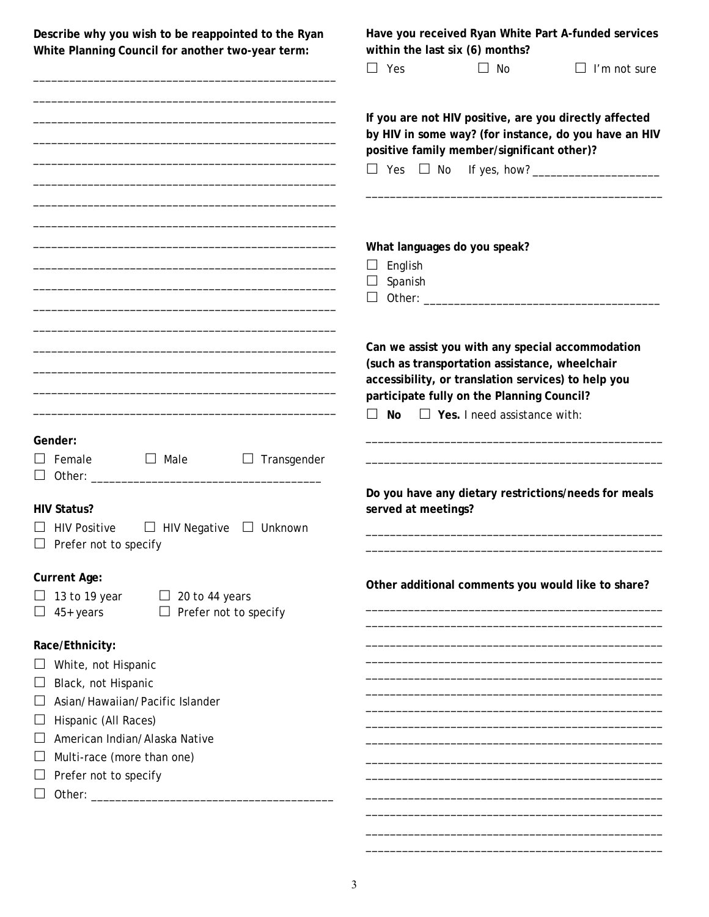| Describe why you wish to be reappointed to the Ryan<br>White Planning Council for another two-year term:                                                                                                              | Have you received Ryan White Part A-funded services<br>within the last six (6) months?                                                                                                |                                                                                                                                                                                                                                                |                                                      |  |
|-----------------------------------------------------------------------------------------------------------------------------------------------------------------------------------------------------------------------|---------------------------------------------------------------------------------------------------------------------------------------------------------------------------------------|------------------------------------------------------------------------------------------------------------------------------------------------------------------------------------------------------------------------------------------------|------------------------------------------------------|--|
| <u> 1989 - Johann Harry Harry Harry Harry Harry Harry Harry Harry Harry Harry Harry Harry Harry Harry Harry Harry</u>                                                                                                 | $\Box$ Yes                                                                                                                                                                            | $\Box$ No                                                                                                                                                                                                                                      | $\Box$ I'm not sure                                  |  |
|                                                                                                                                                                                                                       | If you are not HIV positive, are you directly affected<br>by HIV in some way? (for instance, do you have an HIV<br>positive family member/significant other)?<br>$\Box$ Yes $\Box$ No |                                                                                                                                                                                                                                                |                                                      |  |
| the control of the control of the control of the control of the control of the control of                                                                                                                             | English<br>Spanish<br>⊔<br>⊔                                                                                                                                                          | What languages do you speak?                                                                                                                                                                                                                   |                                                      |  |
| <u> 1980 - Johann John Stein, markin fan it ferstjer fan it ferstjer fan it ferstjer fan it ferstjer fan it fers</u>                                                                                                  | No<br>$\Box$                                                                                                                                                                          | Can we assist you with any special accommodation<br>(such as transportation assistance, wheelchair<br>accessibility, or translation services) to help you<br>participate fully on the Planning Council?<br>$\Box$ Yes. I need assistance with: |                                                      |  |
| Gender:<br>$\Box$ Male<br>Female<br>Transgender                                                                                                                                                                       |                                                                                                                                                                                       |                                                                                                                                                                                                                                                |                                                      |  |
| <b>HIV Status?</b><br><b>HIV Positive</b><br>$\Box$ HIV Negative<br>$\Box$ Unknown<br>Prefer not to specify                                                                                                           | served at meetings?                                                                                                                                                                   |                                                                                                                                                                                                                                                | Do you have any dietary restrictions/needs for meals |  |
| <b>Current Age:</b><br>13 to 19 year $\Box$ 20 to 44 years<br>45+ years<br>$\Box$ Prefer not to specify                                                                                                               |                                                                                                                                                                                       |                                                                                                                                                                                                                                                | Other additional comments you would like to share?   |  |
| Race/Ethnicity:<br>White, not Hispanic<br>Black, not Hispanic<br>ப<br>Asian/Hawaiian/Pacific Islander<br>Hispanic (All Races)<br>American Indian/Alaska Native<br>Multi-race (more than one)<br>Prefer not to specify |                                                                                                                                                                                       |                                                                                                                                                                                                                                                |                                                      |  |

\_\_\_\_\_\_\_\_\_\_\_\_\_\_\_\_\_\_\_\_\_\_\_\_\_\_\_\_\_\_\_\_\_\_\_\_\_\_\_\_\_\_\_\_\_\_\_\_\_